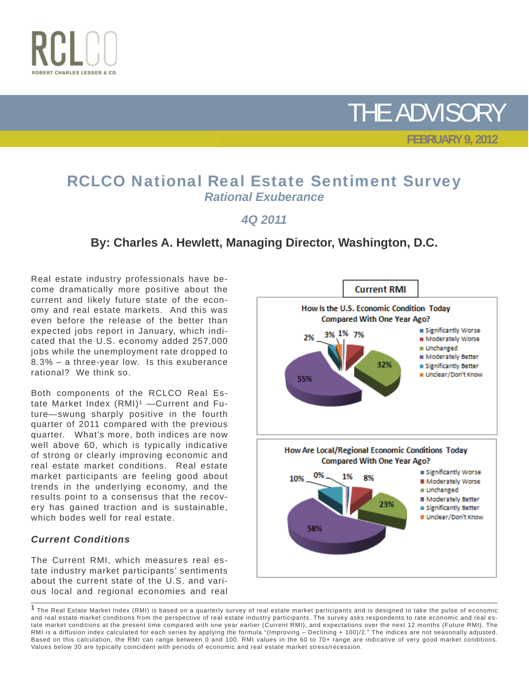



 **FEBRUARY 9, 2012**

## RCLCO National Real Estate Sentiment Survey *Rational Exuberance*

### *4Q 2011*

### **By: Charles A. Hewlett, Managing Director, Washington, D.C.**

Real estate industry professionals have become dramatically more positive about the current and likely future state of the economy and real estate markets. And this was even before the release of the better than expected jobs report in January, which indicated that the U.S. economy added 257,000 jobs while the unemployment rate dropped to 8.3% – a three-year low. Is this exuberance rational? We think so.

Both components of the RCLCO Real Estate Market Index  $(RMI)^1$  - Current and Future—swung sharply positive in the fourth quarter of 2011 compared with the previous quarter. What's more, both indices are now well above 60, which is typically indicative of strong or clearly improving economic and real estate market conditions. Real estate market participants are feeling good about trends in the underlying economy, and the results point to a consensus that the recovery has gained traction and is sustainable, which bodes well for real estate.

#### *Current Conditions*

The Current RMI, which measures real estate industry market participants' sentiments about the current state of the U.S. and various local and regional economies and real



<sup>&</sup>lt;sup>1</sup> The Real Estate Market Index (RMI) is based on a quarterly survey of real estate market participants and is designed to take the pulse of economic and real estate market conditions from the perspective of real estate industry participants. The survey asks respondents to rate economic and real estate market conditions at the present time compared with one year earlier (Current RMI), and expectations over the next 12 months (Future RMI). The RMI is a diffusion index calculated for each series by applying the formula "(Improving – Declining + 100)/2." The indices are not seasonally adjusted. Based on this calculation, the RMI can range between 0 and 100. RMI values in the 60 to 70+ range are indicative of very good market conditions. Values below 30 are typically coincident with periods of economic and real estate market stress/recession.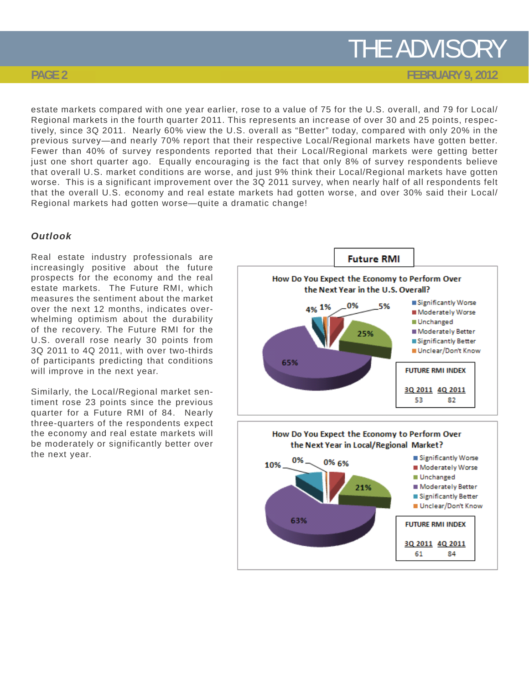**FEBRUARY 9, 2012**

#### **PAGE 2**

estate markets compared with one year earlier, rose to a value of 75 for the U.S. overall, and 79 for Local/ Regional markets in the fourth quarter 2011. This represents an increase of over 30 and 25 points, respectively, since 3Q 2011. Nearly 60% view the U.S. overall as "Better" today, compared with only 20% in the previous survey—and nearly 70% report that their respective Local/Regional markets have gotten better. Fewer than 40% of survey respondents reported that their Local/Regional markets were getting better just one short quarter ago. Equally encouraging is the fact that only 8% of survey respondents believe that overall U.S. market conditions are worse, and just 9% think their Local/Regional markets have gotten worse. This is a significant improvement over the 3Q 2011 survey, when nearly half of all respondents felt that the overall U.S. economy and real estate markets had gotten worse, and over 30% said their Local/ Regional markets had gotten worse—quite a dramatic change!

#### *Outlook*

Real estate industry professionals are increasingly positive about the future prospects for the economy and the real estate markets. The Future RMI, which measures the sentiment about the market over the next 12 months, indicates overwhelming optimism about the durability of the recovery. The Future RMI for the U.S. overall rose nearly 30 points from 3Q 2011 to 4Q 2011, with over two-thirds of participants predicting that conditions will improve in the next year.

Similarly, the Local/Regional market sentiment rose 23 points since the previous quarter for a Future RMI of 84. Nearly three-quarters of the respondents expect the economy and real estate markets will be moderately or significantly better over the next year.



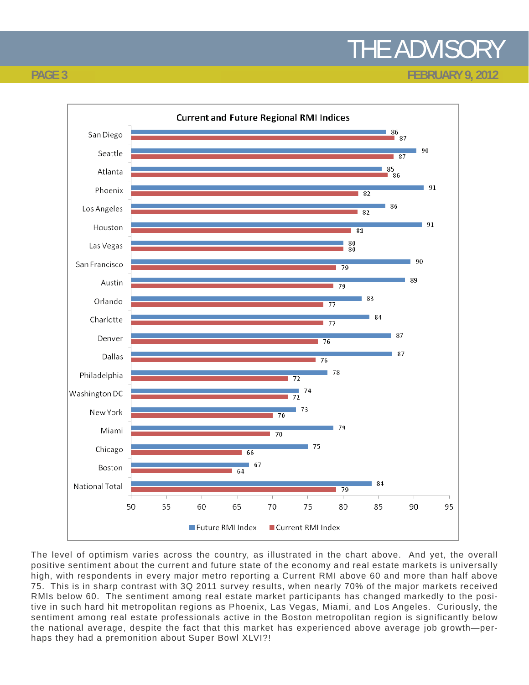**FEBRUARY 9, 2012**



The level of optimism varies across the country, as illustrated in the chart above. And yet, the overall positive sentiment about the current and future state of the economy and real estate markets is universally high, with respondents in every major metro reporting a Current RMI above 60 and more than half above 75. This is in sharp contrast with 3Q 2011 survey results, when nearly 70% of the major markets received RMIs below 60. The sentiment among real estate market participants has changed markedly to the positive in such hard hit metropolitan regions as Phoenix, Las Vegas, Miami, and Los Angeles. Curiously, the sentiment among real estate professionals active in the Boston metropolitan region is significantly below the national average, despite the fact that this market has experienced above average job growth—perhaps they had a premonition about Super Bowl XLVI?!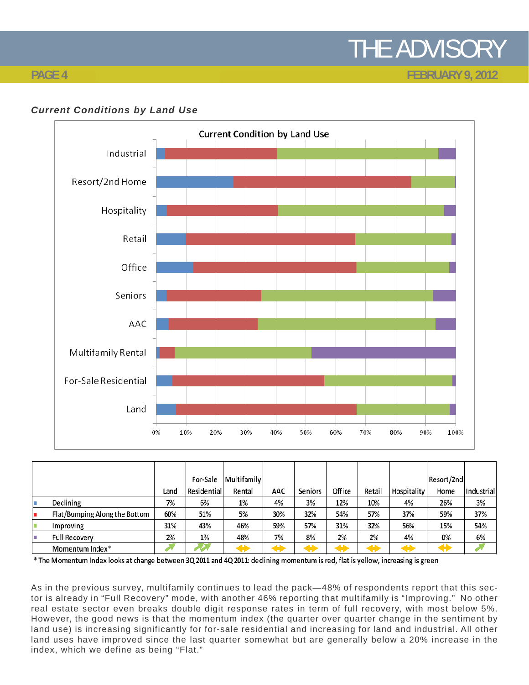### **FEBRUARY 9, 2012**

#### **PAGE 4**





|                               |      | For-Sale    | Multifamily |     |         |        |        |             | Resort/2nd |              |
|-------------------------------|------|-------------|-------------|-----|---------|--------|--------|-------------|------------|--------------|
|                               |      |             |             |     |         |        |        |             |            |              |
|                               | Land | Residential | Rental      | AAC | Seniors | Office | Retail | Hospitality | Home       | lIndustriall |
| Declining                     | 7%   | 6%          | $1\%$       | 4%  | 3%      | 12%    | 10%    | 4%          | 26%        | 3%           |
| Flat/Bumping Along the Bottom | 60%  | 51%         | 5%          | 30% | 32%     | 54%    | 57%    | 37%         | 59%        | 37%          |
| Improving                     | 31%  | 43%         | 46%         | 59% | 57%     | 31%    | 32%    | 56%         | 15%        | 54%          |
| Full Recovery                 | 2%   | 1%          | 48%         | 7%  | 8%      | 2%     | 2%     | 4%          | 0%         | 6%           |
| Momentum Index*               |      |             |             |     |         |        |        |             | H          |              |

\* The Momentum Index looks at change between 3Q 2011 and 4Q 2011: declining momentum is red, flat is yellow, increasing is green

As in the previous survey, multifamily continues to lead the pack—48% of respondents report that this sector is already in "Full Recovery" mode, with another 46% reporting that multifamily is "Improving." No other real estate sector even breaks double digit response rates in term of full recovery, with most below 5%. However, the good news is that the momentum index (the quarter over quarter change in the sentiment by land use) is increasing significantly for for-sale residential and increasing for land and industrial. All other land uses have improved since the last quarter somewhat but are generally below a 20% increase in the index, which we define as being "Flat."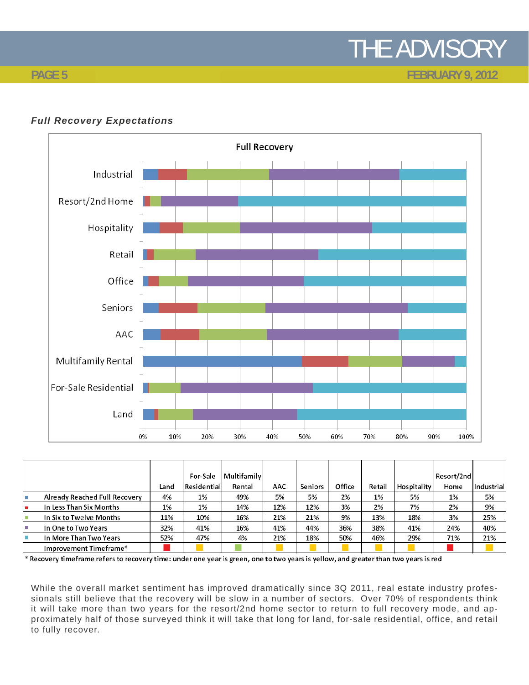**FEBRUARY 9, 2012**

### **Full Recovery** Industrial Resort/2nd Home Hospitality Retail Office Seniors AAC Multifamily Rental For-Sale Residential Land 0% 10% 20% 30% 40% 50% 60% 70%  $80\%$ 90% 100%

#### *Full Recovery Expectations*

|                |                               |      | For-Sale    | <b>Multifamily</b> |     |         |        |        |             | Resort/2nd |            |
|----------------|-------------------------------|------|-------------|--------------------|-----|---------|--------|--------|-------------|------------|------------|
|                |                               | Land | Residential | Rental             | AAC | Seniors | Office | Retail | Hospitality | Home       | Industrial |
|                | Already Reached Full Recovery | 4%   | 1%          | 49%                | 5%  | 5%      | 2%     | 1%     | 5%          | 1%         | 5%         |
|                | In Less Than Six Months       | 1%   | $1\%$       | 14%                | 12% | 12%     | 3%     | 2%     | 7%          | 2%         | 9%         |
|                | In Six to Twelve Months       | 11%  | 10%         | 16%                | 21% | 21%     | 9%     | 13%    | 18%         | 3%         | 25%        |
| $\mathbb{R}^n$ | In One to Two Years           | 32%  | 41%         | 16%                | 41% | 44%     | 36%    | 38%    | 41%         | 24%        | 40%        |
|                | In More Than Two Years        | 52%  | 47%         | 4%                 | 21% | 18%     | 50%    | 46%    | 29%         | 71%        | 21%        |
|                | Improvement Timeframe*        |      |             |                    |     |         |        |        |             |            |            |

\* Recovery timeframe refers to recovery time: under one year is green, one to two years is yellow, and greater than two years is red

While the overall market sentiment has improved dramatically since 3Q 2011, real estate industry professionals still believe that the recovery will be slow in a number of sectors. Over 70% of respondents think it will take more than two years for the resort/2nd home sector to return to full recovery mode, and approximately half of those surveyed think it will take that long for land, for-sale residential, office, and retail to fully recover.